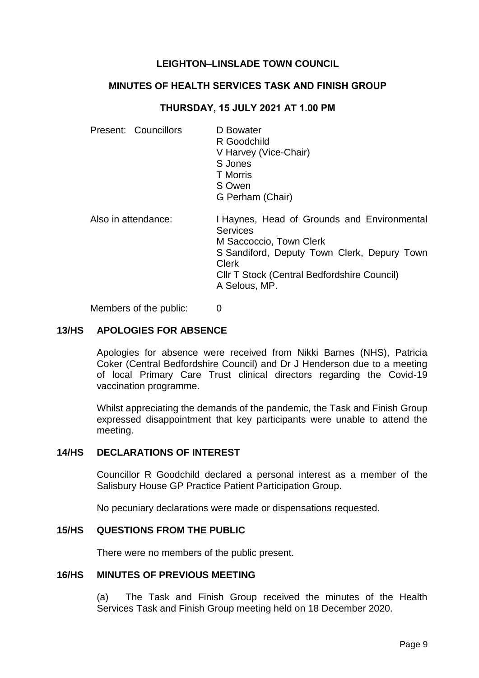# **LEIGHTON–LINSLADE TOWN COUNCIL**

## **MINUTES OF HEALTH SERVICES TASK AND FINISH GROUP**

#### **THURSDAY, 15 JULY 2021 AT 1.00 PM**

| Present: Councillors | D Bowater<br>R Goodchild<br>V Harvey (Vice-Chair)<br>S Jones<br><b>T</b> Morris<br>S Owen<br>G Perham (Chair)                                                                                                            |
|----------------------|--------------------------------------------------------------------------------------------------------------------------------------------------------------------------------------------------------------------------|
| Also in attendance:  | I Haynes, Head of Grounds and Environmental<br><b>Services</b><br>M Saccoccio, Town Clerk<br>S Sandiford, Deputy Town Clerk, Depury Town<br><b>Clerk</b><br>CIIr T Stock (Central Bedfordshire Council)<br>A Selous, MP. |

Members of the public: 0

## **13/HS APOLOGIES FOR ABSENCE**

Apologies for absence were received from Nikki Barnes (NHS), Patricia Coker (Central Bedfordshire Council) and Dr J Henderson due to a meeting of local Primary Care Trust clinical directors regarding the Covid-19 vaccination programme.

Whilst appreciating the demands of the pandemic, the Task and Finish Group expressed disappointment that key participants were unable to attend the meeting.

#### **14/HS DECLARATIONS OF INTEREST**

Councillor R Goodchild declared a personal interest as a member of the Salisbury House GP Practice Patient Participation Group.

No pecuniary declarations were made or dispensations requested.

#### **15/HS QUESTIONS FROM THE PUBLIC**

There were no members of the public present.

#### **16/HS MINUTES OF PREVIOUS MEETING**

(a) The Task and Finish Group received the minutes of the Health Services Task and Finish Group meeting held on 18 December 2020.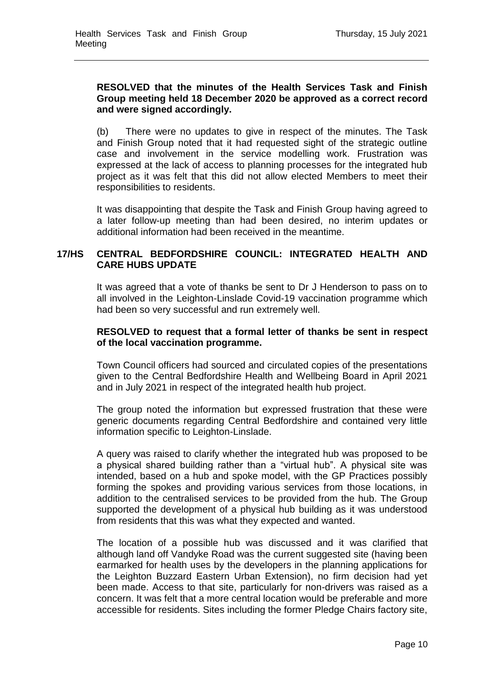# **RESOLVED that the minutes of the Health Services Task and Finish Group meeting held 18 December 2020 be approved as a correct record and were signed accordingly.**

(b) There were no updates to give in respect of the minutes. The Task and Finish Group noted that it had requested sight of the strategic outline case and involvement in the service modelling work. Frustration was expressed at the lack of access to planning processes for the integrated hub project as it was felt that this did not allow elected Members to meet their responsibilities to residents.

It was disappointing that despite the Task and Finish Group having agreed to a later follow-up meeting than had been desired, no interim updates or additional information had been received in the meantime.

# **17/HS CENTRAL BEDFORDSHIRE COUNCIL: INTEGRATED HEALTH AND CARE HUBS UPDATE**

It was agreed that a vote of thanks be sent to Dr J Henderson to pass on to all involved in the Leighton-Linslade Covid-19 vaccination programme which had been so very successful and run extremely well.

## **RESOLVED to request that a formal letter of thanks be sent in respect of the local vaccination programme.**

Town Council officers had sourced and circulated copies of the presentations given to the Central Bedfordshire Health and Wellbeing Board in April 2021 and in July 2021 in respect of the integrated health hub project.

The group noted the information but expressed frustration that these were generic documents regarding Central Bedfordshire and contained very little information specific to Leighton-Linslade.

A query was raised to clarify whether the integrated hub was proposed to be a physical shared building rather than a "virtual hub". A physical site was intended, based on a hub and spoke model, with the GP Practices possibly forming the spokes and providing various services from those locations, in addition to the centralised services to be provided from the hub. The Group supported the development of a physical hub building as it was understood from residents that this was what they expected and wanted.

The location of a possible hub was discussed and it was clarified that although land off Vandyke Road was the current suggested site (having been earmarked for health uses by the developers in the planning applications for the Leighton Buzzard Eastern Urban Extension), no firm decision had yet been made. Access to that site, particularly for non-drivers was raised as a concern. It was felt that a more central location would be preferable and more accessible for residents. Sites including the former Pledge Chairs factory site,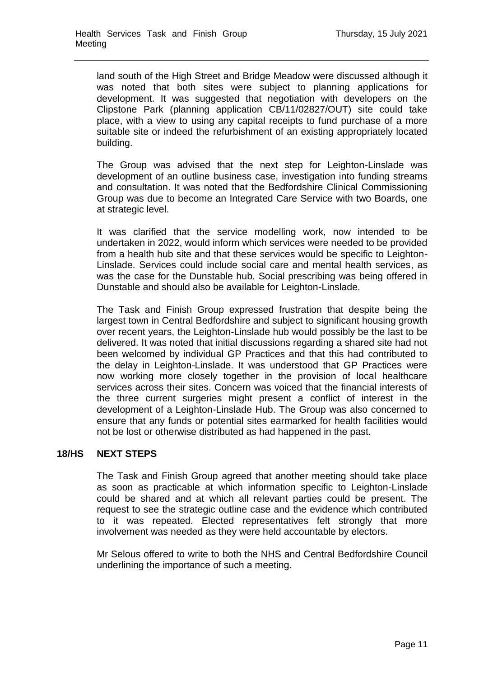land south of the High Street and Bridge Meadow were discussed although it was noted that both sites were subject to planning applications for development. It was suggested that negotiation with developers on the Clipstone Park (planning application CB/11/02827/OUT) site could take place, with a view to using any capital receipts to fund purchase of a more suitable site or indeed the refurbishment of an existing appropriately located building.

The Group was advised that the next step for Leighton-Linslade was development of an outline business case, investigation into funding streams and consultation. It was noted that the Bedfordshire Clinical Commissioning Group was due to become an Integrated Care Service with two Boards, one at strategic level.

It was clarified that the service modelling work, now intended to be undertaken in 2022, would inform which services were needed to be provided from a health hub site and that these services would be specific to Leighton-Linslade. Services could include social care and mental health services, as was the case for the Dunstable hub. Social prescribing was being offered in Dunstable and should also be available for Leighton-Linslade.

The Task and Finish Group expressed frustration that despite being the largest town in Central Bedfordshire and subject to significant housing growth over recent years, the Leighton-Linslade hub would possibly be the last to be delivered. It was noted that initial discussions regarding a shared site had not been welcomed by individual GP Practices and that this had contributed to the delay in Leighton-Linslade. It was understood that GP Practices were now working more closely together in the provision of local healthcare services across their sites. Concern was voiced that the financial interests of the three current surgeries might present a conflict of interest in the development of a Leighton-Linslade Hub. The Group was also concerned to ensure that any funds or potential sites earmarked for health facilities would not be lost or otherwise distributed as had happened in the past.

# **18/HS NEXT STEPS**

The Task and Finish Group agreed that another meeting should take place as soon as practicable at which information specific to Leighton-Linslade could be shared and at which all relevant parties could be present. The request to see the strategic outline case and the evidence which contributed to it was repeated. Elected representatives felt strongly that more involvement was needed as they were held accountable by electors.

Mr Selous offered to write to both the NHS and Central Bedfordshire Council underlining the importance of such a meeting.